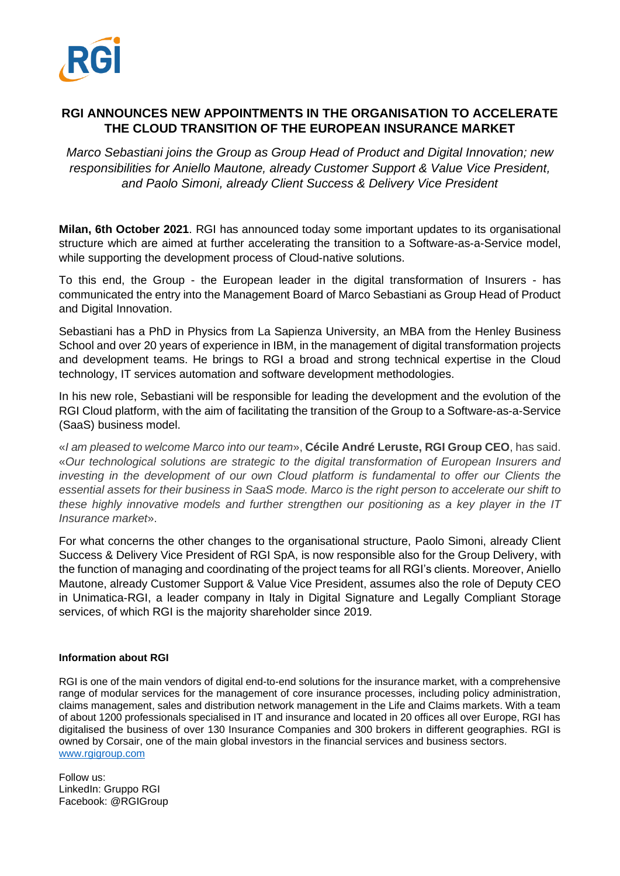

## **RGI ANNOUNCES NEW APPOINTMENTS IN THE ORGANISATION TO ACCELERATE THE CLOUD TRANSITION OF THE EUROPEAN INSURANCE MARKET**

*Marco Sebastiani joins the Group as Group Head of Product and Digital Innovation; new responsibilities for Aniello Mautone, already Customer Support & Value Vice President, and Paolo Simoni, already Client Success & Delivery Vice President*

**Milan, 6th October 2021**. RGI has announced today some important updates to its organisational structure which are aimed at further accelerating the transition to a Software-as-a-Service model, while supporting the development process of Cloud-native solutions.

To this end, the Group - the European leader in the digital transformation of Insurers - has communicated the entry into the Management Board of Marco Sebastiani as Group Head of Product and Digital Innovation.

Sebastiani has a PhD in Physics from La Sapienza University, an MBA from the Henley Business School and over 20 years of experience in IBM, in the management of digital transformation projects and development teams. He brings to RGI a broad and strong technical expertise in the Cloud technology, IT services automation and software development methodologies.

In his new role, Sebastiani will be responsible for leading the development and the evolution of the RGI Cloud platform, with the aim of facilitating the transition of the Group to a Software-as-a-Service (SaaS) business model.

«*I am pleased to welcome Marco into our team*», **Cécile André Leruste, RGI Group CEO**, has said. «*Our technological solutions are strategic to the digital transformation of European Insurers and investing in the development of our own Cloud platform is fundamental to offer our Clients the essential assets for their business in SaaS mode. Marco is the right person to accelerate our shift to these highly innovative models and further strengthen our positioning as a key player in the IT Insurance market*».

For what concerns the other changes to the organisational structure, Paolo Simoni, already Client Success & Delivery Vice President of RGI SpA, is now responsible also for the Group Delivery, with the function of managing and coordinating of the project teams for all RGI's clients. Moreover, Aniello Mautone, already Customer Support & Value Vice President, assumes also the role of Deputy CEO in Unimatica-RGI, a leader company in Italy in Digital Signature and Legally Compliant Storage services, of which RGI is the majority shareholder since 2019.

## **Information about RGI**

RGI is one of the main vendors of digital end-to-end solutions for the insurance market, with a comprehensive range of modular services for the management of core insurance processes, including policy administration, claims management, sales and distribution network management in the Life and Claims markets. With a team of about 1200 professionals specialised in IT and insurance and located in 20 offices all over Europe, RGI has digitalised the business of over 130 Insurance Companies and 300 brokers in different geographies. RGI is owned by Corsair, one of the main global investors in the financial services and business sectors. [www.rgigroup.com](http://www.rgigroup.com/)

Follow us: LinkedIn: Gruppo RGI Facebook: @RGIGroup